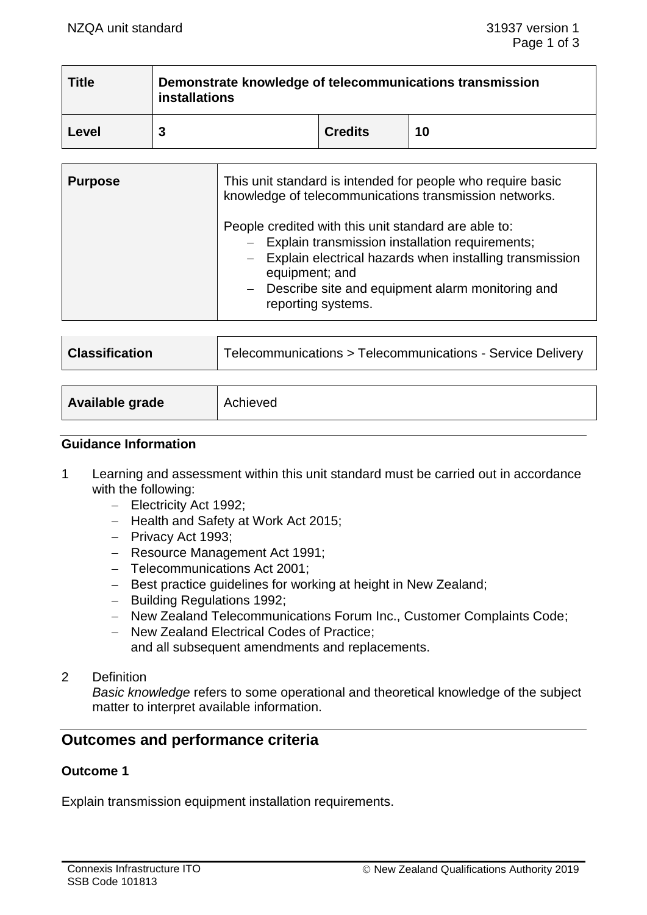<u> The Communication of the Communication of</u>

| <b>Title</b> | Demonstrate knowledge of telecommunications transmission<br><i>installations</i> |                |    |  |
|--------------|----------------------------------------------------------------------------------|----------------|----|--|
| Level        |                                                                                  | <b>Credits</b> | 10 |  |

| <b>Purpose</b> | This unit standard is intended for people who require basic<br>knowledge of telecommunications transmission networks.<br>People credited with this unit standard are able to:<br>- Explain transmission installation requirements;<br>- Explain electrical hazards when installing transmission<br>equipment; and<br>- Describe site and equipment alarm monitoring and<br>reporting systems. |  |
|----------------|-----------------------------------------------------------------------------------------------------------------------------------------------------------------------------------------------------------------------------------------------------------------------------------------------------------------------------------------------------------------------------------------------|--|
|                |                                                                                                                                                                                                                                                                                                                                                                                               |  |

| <b>Classification</b> | Telecommunications > Telecommunications - Service Delivery |  |
|-----------------------|------------------------------------------------------------|--|
|                       |                                                            |  |
| Available grade       | Achieved                                                   |  |

## **Guidance Information**

- 1 Learning and assessment within this unit standard must be carried out in accordance with the following:
	- − Electricity Act 1992;
	- − Health and Safety at Work Act 2015;
	- − Privacy Act 1993;
	- − Resource Management Act 1991;
	- − Telecommunications Act 2001;
	- − Best practice guidelines for working at height in New Zealand;
	- − Building Regulations 1992;
	- − New Zealand Telecommunications Forum Inc., Customer Complaints Code;
	- − New Zealand Electrical Codes of Practice; and all subsequent amendments and replacements.
- 2 Definition

*Basic knowledge* refers to some operational and theoretical knowledge of the subject matter to interpret available information.

# **Outcomes and performance criteria**

### **Outcome 1**

Explain transmission equipment installation requirements.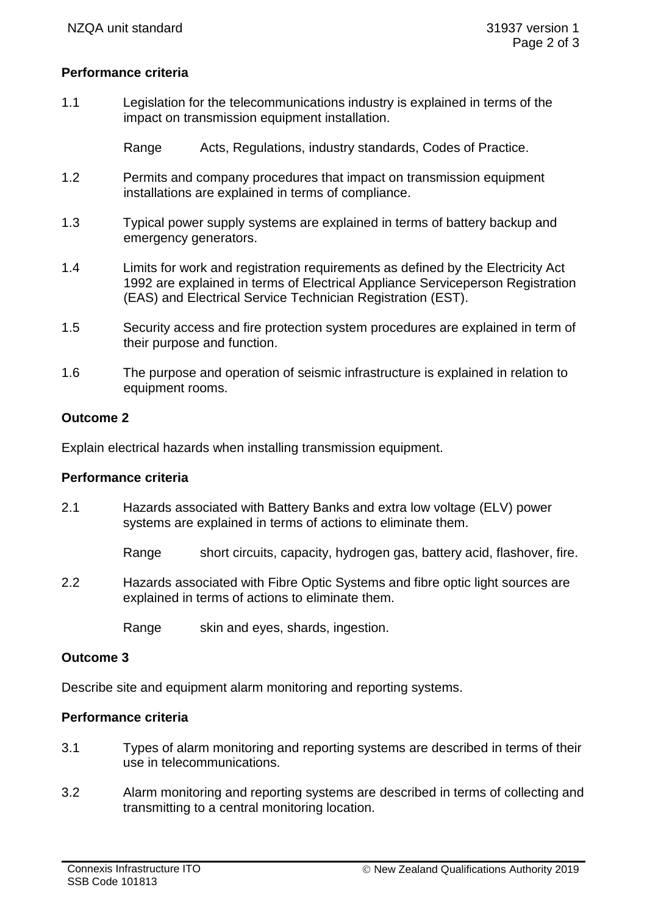## **Performance criteria**

1.1 Legislation for the telecommunications industry is explained in terms of the impact on transmission equipment installation.

Range Acts, Regulations, industry standards, Codes of Practice.

- 1.2 Permits and company procedures that impact on transmission equipment installations are explained in terms of compliance.
- 1.3 Typical power supply systems are explained in terms of battery backup and emergency generators.
- 1.4 Limits for work and registration requirements as defined by the Electricity Act 1992 are explained in terms of Electrical Appliance Serviceperson Registration (EAS) and Electrical Service Technician Registration (EST).
- 1.5 Security access and fire protection system procedures are explained in term of their purpose and function.
- 1.6 The purpose and operation of seismic infrastructure is explained in relation to equipment rooms.

### **Outcome 2**

Explain electrical hazards when installing transmission equipment.

#### **Performance criteria**

2.1 Hazards associated with Battery Banks and extra low voltage (ELV) power systems are explained in terms of actions to eliminate them.

Range short circuits, capacity, hydrogen gas, battery acid, flashover, fire.

2.2 Hazards associated with Fibre Optic Systems and fibre optic light sources are explained in terms of actions to eliminate them.

Range skin and eyes, shards, ingestion.

#### **Outcome 3**

Describe site and equipment alarm monitoring and reporting systems.

### **Performance criteria**

- 3.1 Types of alarm monitoring and reporting systems are described in terms of their use in telecommunications.
- 3.2 Alarm monitoring and reporting systems are described in terms of collecting and transmitting to a central monitoring location.